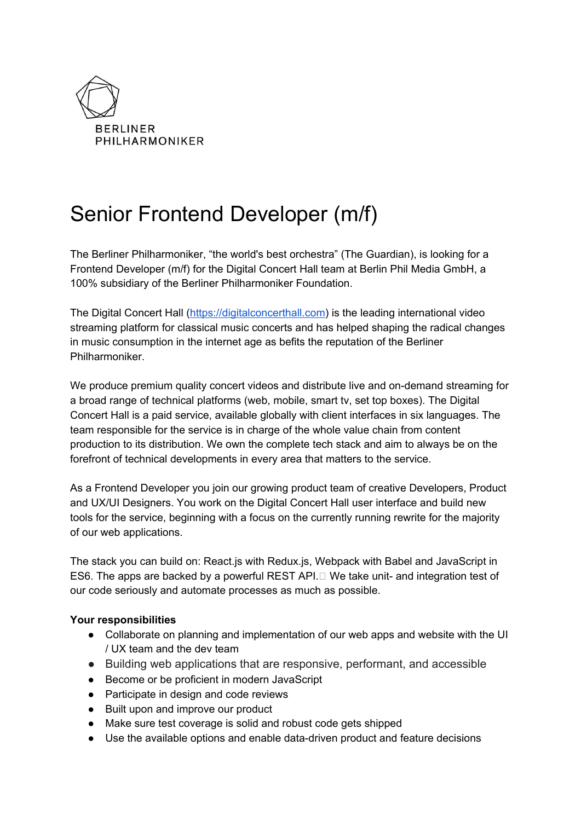

# Senior Frontend Developer (m/f)

The Berliner Philharmoniker, "the world's best orchestra" (The Guardian), is looking for a Frontend Developer (m/f) for the Digital Concert Hall team at Berlin Phil Media GmbH, a 100% subsidiary of the Berliner Philharmoniker Foundation.

The Digital Concert Hall ([https://digitalconcerthall.com\)](https://digitalconcerthall.com/) is the leading international video streaming platform for classical music concerts and has helped shaping the radical changes in music consumption in the internet age as befits the reputation of the Berliner Philharmoniker.

We produce premium quality concert videos and distribute live and on-demand streaming for a broad range of technical platforms (web, mobile, smart tv, set top boxes). The Digital Concert Hall is a paid service, available globally with client interfaces in six languages. The team responsible for the service is in charge of the whole value chain from content production to its distribution. We own the complete tech stack and aim to always be on the forefront of technical developments in every area that matters to the service.

As a Frontend Developer you join our growing product team of creative Developers, Product and UX/UI Designers. You work on the Digital Concert Hall user interface and build new tools for the service, beginning with a focus on the currently running rewrite for the majority of our web applications.

The stack you can build on: React.js with Redux.js, Webpack with Babel and JavaScript in ES6. The apps are backed by a powerful REST API. $\Box$  We take unit- and integration test of our code seriously and automate processes as much as possible.

## **Your responsibilities**

- Collaborate on planning and implementation of our web apps and website with the UI / UX team and the dev team
- Building web applications that are responsive, performant, and accessible
- Become or be proficient in modern JavaScript
- Participate in design and code reviews
- Built upon and improve our product
- Make sure test coverage is solid and robust code gets shipped
- Use the available options and enable data-driven product and feature decisions